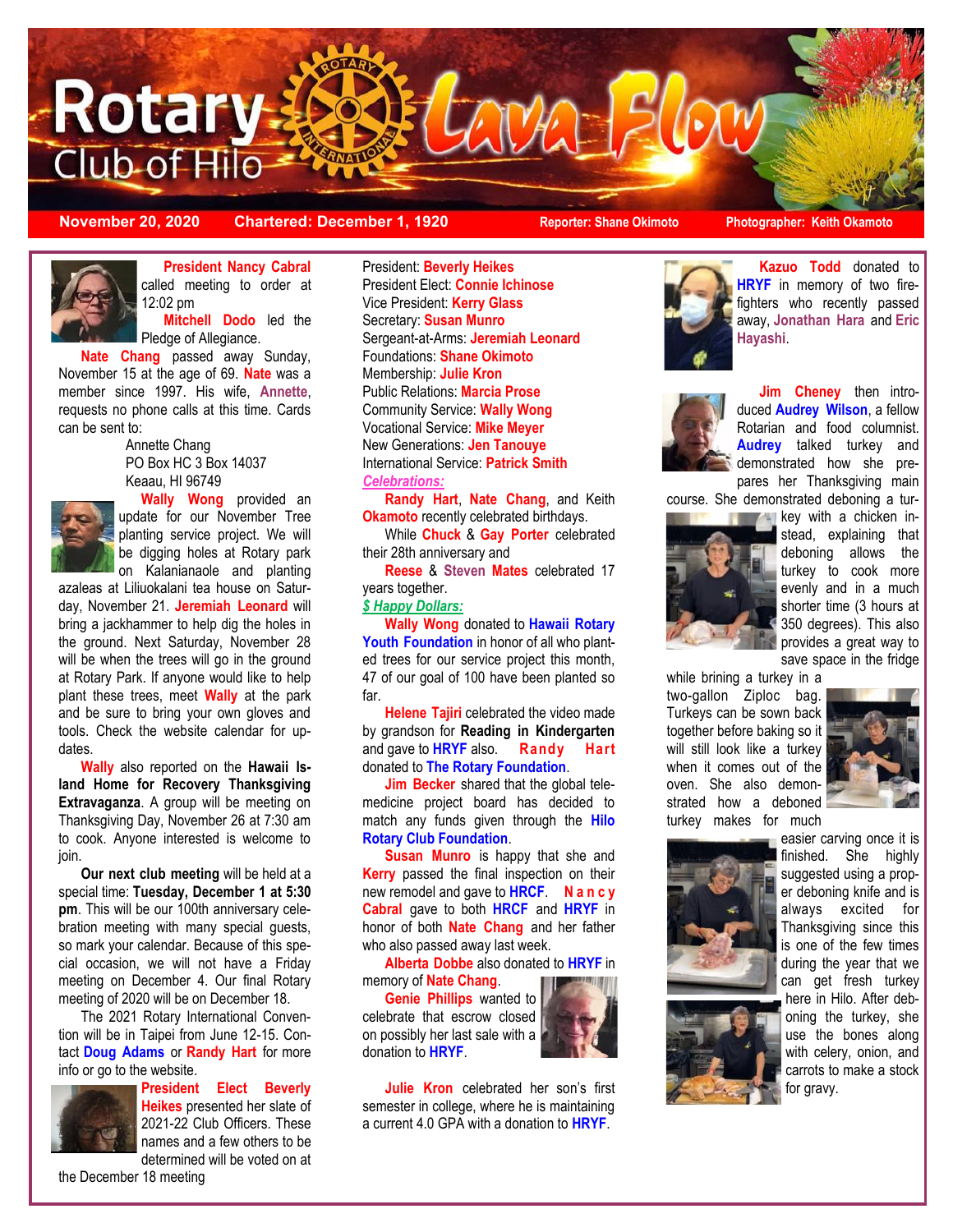

**November 20, 2020 Chartered: December 1, 1920 Reporter: Shane Okimoto Photographer: Keith Okamoto**



**President Nancy Cabral**  called meeting to order at 12:02 pm

**Mitchell Dodo** led the Pledge of Allegiance.

**Nate Chang** passed away Sunday, November 15 at the age of 69. **Nate** was a member since 1997. His wife, **Annette**, requests no phone calls at this time. Cards can be sent to:

> Annette Chang PO Box HC 3 Box 14037 Keaau, HI 96749



**Wally Wong** provided an update for our November Tree planting service project. We will be digging holes at Rotary park on Kalanianaole and planting

azaleas at Liliuokalani tea house on Saturday, November 21. **Jeremiah Leonard** will bring a jackhammer to help dig the holes in the ground. Next Saturday, November 28 will be when the trees will go in the ground at Rotary Park. If anyone would like to help plant these trees, meet **Wally** at the park and be sure to bring your own gloves and tools. Check the website calendar for updates.

**Wally** also reported on the **Hawaii Island Home for Recovery Thanksgiving Extravaganza**. A group will be meeting on Thanksgiving Day, November 26 at 7:30 am to cook. Anyone interested is welcome to join.

**Our next club meeting** will be held at a special time: **Tuesday, December 1 at 5:30 pm**. This will be our 100th anniversary celebration meeting with many special guests, so mark your calendar. Because of this special occasion, we will not have a Friday meeting on December 4. Our final Rotary meeting of 2020 will be on December 18.

The 2021 Rotary International Convention will be in Taipei from June 12-15. Contact **Doug Adams** or **Randy Hart** for more info or go to the website.



**President Elect Beverly Heikes** presented her slate of 2021-22 Club Officers. These names and a few others to be

determined will be voted on at

President: **Beverly Heikes** President Elect: **Connie Ichinose** Vice President: **Kerry Glass** Secretary: **Susan Munro** Sergeant-at-Arms: **Jeremiah Leonard** Foundations: **Shane Okimoto** Membership: **Julie Kron** Public Relations: **Marcia Prose** Community Service: **Wally Wong** Vocational Service: **Mike Meyer** New Generations: **Jen Tanouye** International Service: **Patrick Smith**

*Celebrations:*

**Randy Hart**, **Nate Chang**, and Keith **Okamoto** recently celebrated birthdays.

While **Chuck** & **Gay Porter** celebrated their 28th anniversary and

**Reese** & **Steven Mates** celebrated 17 years together.

#### *\$ Happy Dollars:*

**Wally Wong** donated to **Hawaii Rotary Youth Foundation** in honor of all who planted trees for our service project this month, 47 of our goal of 100 have been planted so far.

**Helene Tajiri** celebrated the video made by grandson for **Reading in Kindergarten**  and gave to **HRYF** also. **Randy Hart**  donated to **The Rotary Foundation**.

**Jim Becker** shared that the global telemedicine project board has decided to match any funds given through the **Hilo Rotary Club Foundation**.

**Susan Munro** is happy that she and **Kerry** passed the final inspection on their new remodel and gave to **HRCF**. **N a n c y Cabral** gave to both **HRCF** and **HRYF** in honor of both **Nate Chang** and her father who also passed away last week.

**Alberta Dobbe** also donated to **HRYF** in memory of **Nate Chang**.

**Genie Phillips** wanted to celebrate that escrow closed on possibly her last sale with a donation to **HRYF**.



**Julie Kron** celebrated her son's first semester in college, where he is maintaining a current 4.0 GPA with a donation to **HRYF**.



**Kazuo Todd** donated to **HRYF** in memory of two firefighters who recently passed away, **Jonathan Hara** and **Eric Hayashi**.



**Jim Cheney** then introduced **Audrey Wilson**, a fellow Rotarian and food columnist. **Audrey** talked turkey and demonstrated how she prepares her Thanksgiving main

course. She demonstrated deboning a tur-



**key with a chicken in**stead, explaining that deboning allows the turkey to cook more evenly and in a much shorter time (3 hours at 350 degrees). This also provides a great way to save space in the fridge

while brining a turkey in a two-gallon Ziploc bag. Turkeys can be sown back together before baking so it will still look like a turkey when it comes out of the oven. She also demonstrated how a deboned turkey makes for much





easier carving once it is finished. She highly suggested using a proper deboning knife and is always excited for Thanksgiving since this is one of the few times during the year that we can get fresh turkey here in Hilo. After deboning the turkey, she use the bones along with celery, onion, and carrots to make a stock for gravy.

the December 18 meeting